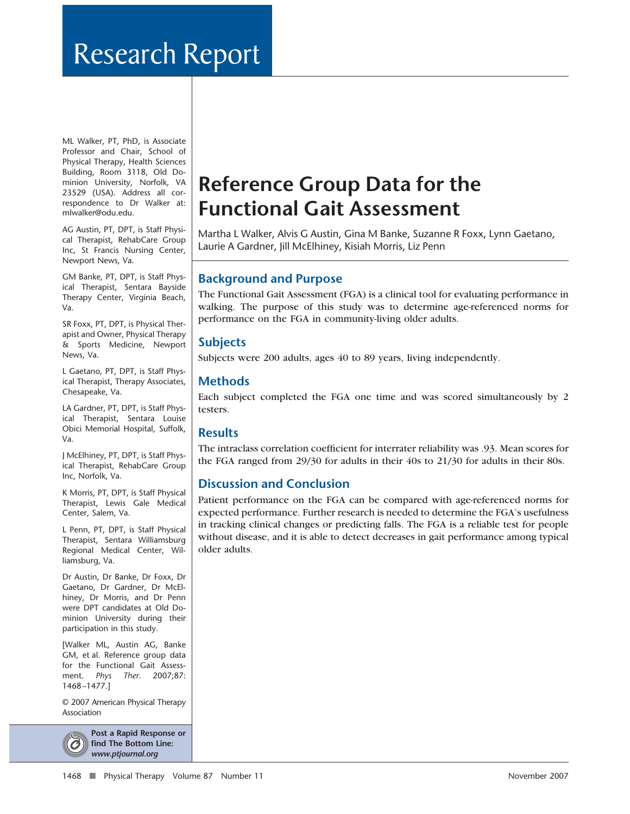# Research Report

ML Walker, PT, PhD, is Associate Professor and Chair, School of Physical Therapy, Health Sciences Building, Room 3118, Old Dominion University, Norfolk, VA 23529 (USA). Address all correspondence to Dr Walker at: mlwalker@odu.edu.

AG Austin, PT, DPT, is Staff Physical Therapist, RehabCare Group Inc, St Francis Nursing Center, Newport News, Va.

GM Banke, PT, DPT, is Staff Physical Therapist, Sentara Bayside Therapy Center, Virginia Beach, Va.

SR Foxx, PT, DPT, is Physical Therapist and Owner, Physical Therapy & Sports Medicine, Newport News, Va.

L Gaetano, PT, DPT, is Staff Physical Therapist, Therapy Associates, Chesapeake, Va.

LA Gardner, PT, DPT, is Staff Physical Therapist, Sentara Louise Obici Memorial Hospital, Suffolk, Va.

J McElhiney, PT, DPT, is Staff Physical Therapist, RehabCare Group Inc, Norfolk, Va.

K Morris, PT, DPT, is Staff Physical Therapist, Lewis Gale Medical Center, Salem, Va.

L Penn, PT, DPT, is Staff Physical Therapist, Sentara Williamsburg Regional Medical Center, Williamsburg, Va.

Dr Austin, Dr Banke, Dr Foxx, Dr Gaetano, Dr Gardner, Dr McElhiney, Dr Morris, and Dr Penn were DPT candidates at Old Dominion University during their participation in this study.

[Walker ML, Austin AG, Banke GM, et al. Reference group data for the Functional Gait Assessment. *Phys Ther*. 2007;87: 1468 –1477.]

© 2007 American Physical Therapy Association



**Post a Rapid Response or find The Bottom Line:** *www.ptjournal.org*

## **Reference Group Data for the Functional Gait Assessment**

Martha L Walker, Alvis G Austin, Gina M Banke, Suzanne R Foxx, Lynn Gaetano, Laurie A Gardner, Jill McElhiney, Kisiah Morris, Liz Penn

## **Background and Purpose**

The Functional Gait Assessment (FGA) is a clinical tool for evaluating performance in walking. The purpose of this study was to determine age-referenced norms for performance on the FGA in community-living older adults.

## **Subjects**

Subjects were 200 adults, ages 40 to 89 years, living independently.

## **Methods**

Each subject completed the FGA one time and was scored simultaneously by 2 testers.

## **Results**

The intraclass correlation coefficient for interrater reliability was .93. Mean scores for the FGA ranged from 29/30 for adults in their 40s to 21/30 for adults in their 80s.

## **Discussion and Conclusion**

Patient performance on the FGA can be compared with age-referenced norms for expected performance. Further research is needed to determine the FGA's usefulness in tracking clinical changes or predicting falls. The FGA is a reliable test for people without disease, and it is able to detect decreases in gait performance among typical older adults.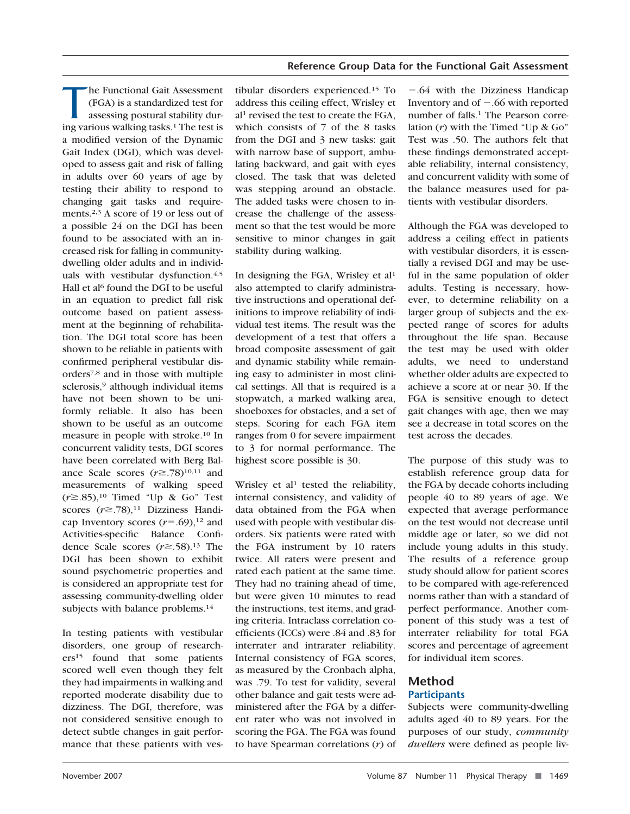The Functional Gait Assessment<br>
(FGA) is a standardized test for<br>
assessing postural stability during various walking tasks.<sup>1</sup> The test is (FGA) is a standardized test for assessing postural stability dura modified version of the Dynamic Gait Index (DGI), which was developed to assess gait and risk of falling in adults over 60 years of age by testing their ability to respond to changing gait tasks and requirements.2,3 A score of 19 or less out of a possible 24 on the DGI has been found to be associated with an increased risk for falling in communitydwelling older adults and in individuals with vestibular dysfunction.4,5 Hall et al<sup>6</sup> found the DGI to be useful in an equation to predict fall risk outcome based on patient assessment at the beginning of rehabilitation. The DGI total score has been shown to be reliable in patients with confirmed peripheral vestibular disorders7,8 and in those with multiple sclerosis,<sup>9</sup> although individual items have not been shown to be uniformly reliable. It also has been shown to be useful as an outcome measure in people with stroke.10 In concurrent validity tests, DGI scores have been correlated with Berg Balance Scale scores  $(r\geq .78)^{10,11}$  and measurements of walking speed  $(r\geq 0.85)$ ,<sup>10</sup> Timed "Up & Go" Test scores  $(r \geq .78)$ ,<sup>11</sup> Dizziness Handicap Inventory scores  $(r=.69)$ ,<sup>12</sup> and Activities-specific Balance Confidence Scale scores  $(r \ge 0.58)$ .<sup>13</sup> The DGI has been shown to exhibit sound psychometric properties and is considered an appropriate test for assessing community-dwelling older subjects with balance problems.<sup>14</sup>

In testing patients with vestibular disorders, one group of researchers15 found that some patients scored well even though they felt they had impairments in walking and reported moderate disability due to dizziness. The DGI, therefore, was not considered sensitive enough to detect subtle changes in gait performance that these patients with vestibular disorders experienced.15 To address this ceiling effect, Wrisley et al1 revised the test to create the FGA, which consists of 7 of the 8 tasks from the DGI and 3 new tasks: gait with narrow base of support, ambulating backward, and gait with eyes closed. The task that was deleted was stepping around an obstacle. The added tasks were chosen to increase the challenge of the assessment so that the test would be more sensitive to minor changes in gait stability during walking.

In designing the FGA, Wrisley et al<sup>1</sup> also attempted to clarify administrative instructions and operational definitions to improve reliability of individual test items. The result was the development of a test that offers a broad composite assessment of gait and dynamic stability while remaining easy to administer in most clinical settings. All that is required is a stopwatch, a marked walking area, shoeboxes for obstacles, and a set of steps. Scoring for each FGA item ranges from 0 for severe impairment to 3 for normal performance. The highest score possible is 30.

Wrisley et al<sup>1</sup> tested the reliability, internal consistency, and validity of data obtained from the FGA when used with people with vestibular disorders. Six patients were rated with the FGA instrument by 10 raters twice. All raters were present and rated each patient at the same time. They had no training ahead of time, but were given 10 minutes to read the instructions, test items, and grading criteria. Intraclass correlation coefficients (ICCs) were .84 and .83 for interrater and intrarater reliability. Internal consistency of FGA scores, as measured by the Cronbach alpha, was .79. To test for validity, several other balance and gait tests were administered after the FGA by a different rater who was not involved in scoring the FGA. The FGA was found to have Spearman correlations (*r*) of

-.64 with the Dizziness Handicap Inventory and of  $-.66$  with reported number of falls.<sup>1</sup> The Pearson correlation (*r*) with the Timed "Up & Go" Test was .50. The authors felt that these findings demonstrated acceptable reliability, internal consistency, and concurrent validity with some of the balance measures used for patients with vestibular disorders.

Although the FGA was developed to address a ceiling effect in patients with vestibular disorders, it is essentially a revised DGI and may be useful in the same population of older adults. Testing is necessary, however, to determine reliability on a larger group of subjects and the expected range of scores for adults throughout the life span. Because the test may be used with older adults, we need to understand whether older adults are expected to achieve a score at or near 30. If the FGA is sensitive enough to detect gait changes with age, then we may see a decrease in total scores on the test across the decades.

The purpose of this study was to establish reference group data for the FGA by decade cohorts including people 40 to 89 years of age. We expected that average performance on the test would not decrease until middle age or later, so we did not include young adults in this study. The results of a reference group study should allow for patient scores to be compared with age-referenced norms rather than with a standard of perfect performance. Another component of this study was a test of interrater reliability for total FGA scores and percentage of agreement for individual item scores.

## **Method Participants**

Subjects were community-dwelling adults aged 40 to 89 years. For the purposes of our study, *community dwellers* were defined as people liv-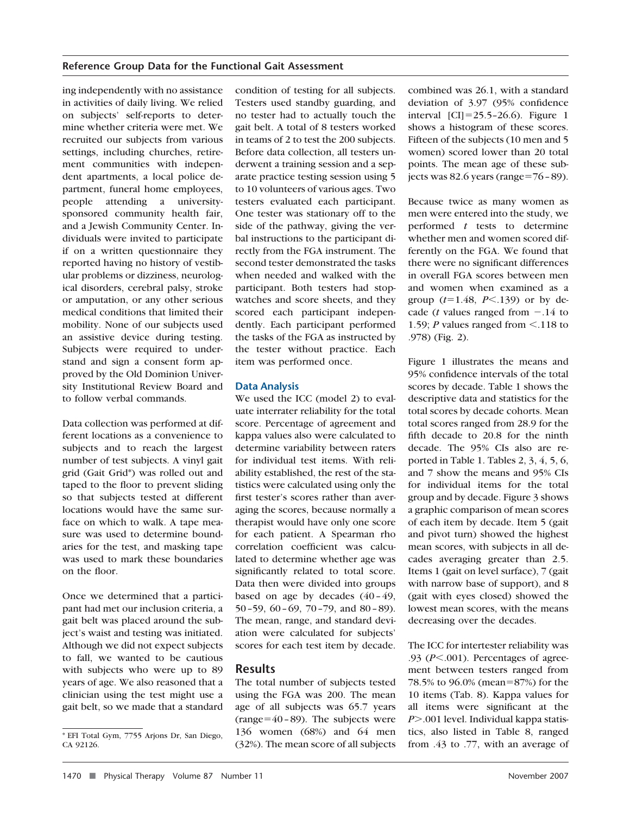ing independently with no assistance in activities of daily living. We relied on subjects' self-reports to determine whether criteria were met. We recruited our subjects from various settings, including churches, retirement communities with independent apartments, a local police department, funeral home employees, people attending a universitysponsored community health fair, and a Jewish Community Center. Individuals were invited to participate if on a written questionnaire they reported having no history of vestibular problems or dizziness, neurological disorders, cerebral palsy, stroke or amputation, or any other serious medical conditions that limited their mobility. None of our subjects used an assistive device during testing. Subjects were required to understand and sign a consent form approved by the Old Dominion University Institutional Review Board and to follow verbal commands.

Data collection was performed at different locations as a convenience to subjects and to reach the largest number of test subjects. A vinyl gait grid (Gait Grid\*) was rolled out and taped to the floor to prevent sliding so that subjects tested at different locations would have the same surface on which to walk. A tape measure was used to determine boundaries for the test, and masking tape was used to mark these boundaries on the floor.

Once we determined that a participant had met our inclusion criteria, a gait belt was placed around the subject's waist and testing was initiated. Although we did not expect subjects to fall, we wanted to be cautious with subjects who were up to 89 years of age. We also reasoned that a clinician using the test might use a gait belt, so we made that a standard

condition of testing for all subjects. Testers used standby guarding, and no tester had to actually touch the gait belt. A total of 8 testers worked in teams of 2 to test the 200 subjects. Before data collection, all testers underwent a training session and a separate practice testing session using 5 to 10 volunteers of various ages. Two testers evaluated each participant. One tester was stationary off to the side of the pathway, giving the verbal instructions to the participant directly from the FGA instrument. The second tester demonstrated the tasks when needed and walked with the participant. Both testers had stopwatches and score sheets, and they scored each participant independently. Each participant performed the tasks of the FGA as instructed by the tester without practice. Each item was performed once.

#### **Data Analysis**

We used the ICC (model 2) to evaluate interrater reliability for the total score. Percentage of agreement and kappa values also were calculated to determine variability between raters for individual test items. With reliability established, the rest of the statistics were calculated using only the first tester's scores rather than averaging the scores, because normally a therapist would have only one score for each patient. A Spearman rho correlation coefficient was calculated to determine whether age was significantly related to total score. Data then were divided into groups based on age by decades  $(40-49,$ 50 – 59,  $60 - 69$ ,  $70 - 79$ , and  $80 - 89$ ). The mean, range, and standard deviation were calculated for subjects' scores for each test item by decade.

## **Results**

The total number of subjects tested using the FGA was 200. The mean age of all subjects was 65.7 years (range= $40 - 89$ ). The subjects were 136 women (68%) and 64 men (32%). The mean score of all subjects combined was 26.1, with a standard deviation of 3.97 (95% confidence interval  $|CI|=25.5-26.6$ . Figure 1 shows a histogram of these scores. Fifteen of the subjects (10 men and 5 women) scored lower than 20 total points. The mean age of these subjects was 82.6 years (range= $76 - 89$ ).

Because twice as many women as men were entered into the study, we performed *t* tests to determine whether men and women scored differently on the FGA. We found that there were no significant differences in overall FGA scores between men and women when examined as a group  $(t=1.48, P<.139)$  or by decade (*t* values ranged from  $-.14$  to 1.59; *P* values ranged from  $\leq$  118 to .978) (Fig. 2).

Figure 1 illustrates the means and 95% confidence intervals of the total scores by decade. Table 1 shows the descriptive data and statistics for the total scores by decade cohorts. Mean total scores ranged from 28.9 for the fifth decade to 20.8 for the ninth decade. The 95% CIs also are reported in Table 1. Tables 2, 3, 4, 5, 6, and 7 show the means and 95% CIs for individual items for the total group and by decade. Figure 3 shows a graphic comparison of mean scores of each item by decade. Item 5 (gait and pivot turn) showed the highest mean scores, with subjects in all decades averaging greater than 2.5. Items 1 (gait on level surface), 7 (gait with narrow base of support), and 8 (gait with eyes closed) showed the lowest mean scores, with the means decreasing over the decades.

The ICC for intertester reliability was .93  $(P<.001)$ . Percentages of agreement between testers ranged from 78.5% to 96.0% (mean=87%) for the 10 items (Tab. 8). Kappa values for all items were significant at the *P*.001 level. Individual kappa statistics, also listed in Table 8, ranged from .43 to .77, with an average of

<sup>\*</sup> EFI Total Gym, 7755 Arjons Dr, San Diego, CA 92126.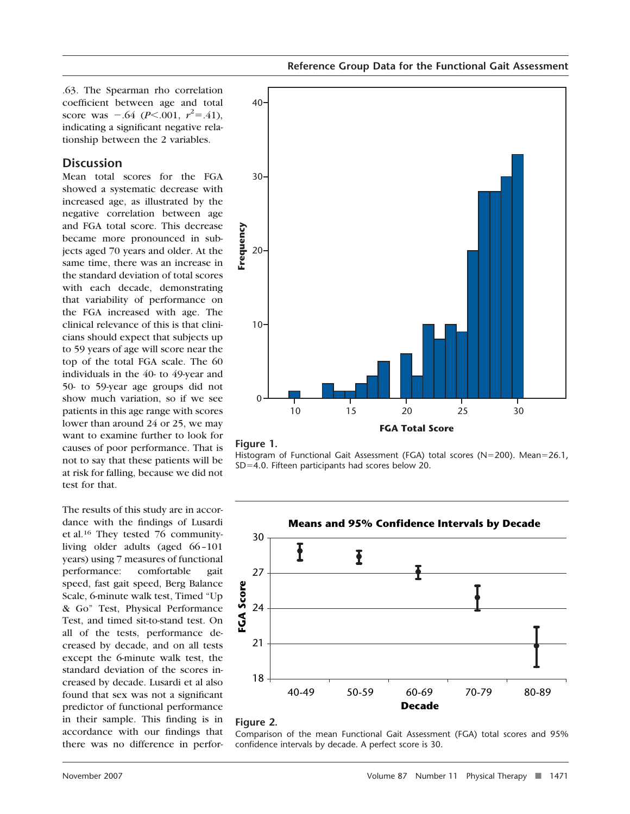.63. The Spearman rho correlation coefficient between age and total score was  $-.64$  (*P*<.001,  $r^2$ =.41), indicating a significant negative relationship between the 2 variables.

## **Discussion**

Mean total scores for the FGA showed a systematic decrease with increased age, as illustrated by the negative correlation between age and FGA total score. This decrease became more pronounced in subjects aged 70 years and older. At the same time, there was an increase in the standard deviation of total scores with each decade, demonstrating that variability of performance on the FGA increased with age. The clinical relevance of this is that clinicians should expect that subjects up to 59 years of age will score near the top of the total FGA scale. The 60 individuals in the 40- to 49-year and 50- to 59-year age groups did not show much variation, so if we see patients in this age range with scores lower than around 24 or 25, we may want to examine further to look for causes of poor performance. That is not to say that these patients will be at risk for falling, because we did not test for that.

The results of this study are in accordance with the findings of Lusardi et al.16 They tested 76 communityliving older adults (aged 66 –101 years) using 7 measures of functional performance: comfortable gait speed, fast gait speed, Berg Balance Scale, 6-minute walk test, Timed "Up & Go" Test, Physical Performance Test, and timed sit-to-stand test. On all of the tests, performance decreased by decade, and on all tests except the 6-minute walk test, the standard deviation of the scores increased by decade. Lusardi et al also found that sex was not a significant predictor of functional performance in their sample. This finding is in accordance with our findings that there was no difference in perfor-





Histogram of Functional Gait Assessment (FGA) total scores (N=200). Mean=26.1,  $SD=4.0$ . Fifteen participants had scores below 20.



#### **Figure 2.**

Comparison of the mean Functional Gait Assessment (FGA) total scores and 95% confidence intervals by decade. A perfect score is 30.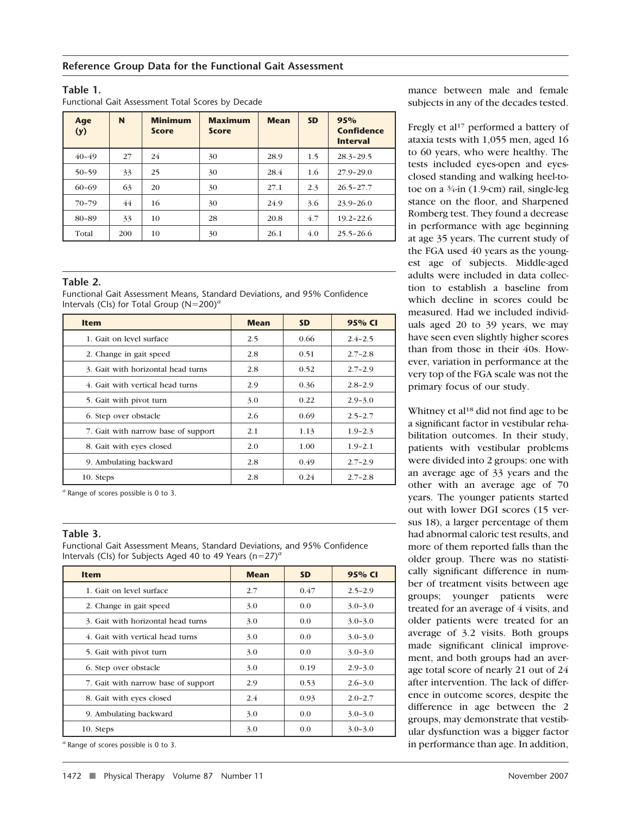#### **Table 1.**

Functional Gait Assessment Total Scores by Decade

| Age<br>(y) | N   | <b>Minimum</b><br><b>Score</b> | <b>Maximum</b><br><b>Score</b> | <b>Mean</b> | <b>SD</b> | 95%<br>Confidence<br><b>Interval</b> |
|------------|-----|--------------------------------|--------------------------------|-------------|-----------|--------------------------------------|
| $40 - 49$  | 27  | 24                             | 30                             | 28.9        | 1.5       | $28.3 - 29.5$                        |
| $50 - 59$  | 33  | 25                             | 30                             | 28.4        | 1.6       | $27.9 - 29.0$                        |
| $60 - 69$  | 63  | 20                             | 30                             | 27.1        | 2.3       | $26.5 - 27.7$                        |
| $70 - 79$  | 44  | 16                             | 30                             | 24.9        | 3.6       | $23.9 - 26.0$                        |
| 80-89      | 33  | 10                             | 28                             | 20.8        | 4.7       | $19.2 - 22.6$                        |
| Total      | 200 | 10                             | 30                             | 26.1        | 4.0       | $25.5 - 26.6$                        |

#### **Table 2.**

Functional Gait Assessment Means, Standard Deviations, and 95% Confidence Intervals (CIs) for Total Group (N=200)<sup>*a*</sup>

| <b>Item</b>                         | <b>Mean</b> | <b>SD</b> | 95% CI      |
|-------------------------------------|-------------|-----------|-------------|
| 1. Gait on level surface            | 2.5         | 0.66      | $2.4 - 2.5$ |
| 2. Change in gait speed             | 2.8         | 0.51      | $2.7 - 2.8$ |
| 3. Gait with horizontal head turns  | 2.8         | 0.52      | $2.7 - 2.9$ |
| 4. Gait with vertical head turns    | 2.9         | 0.36      | $2.8 - 2.9$ |
| 5. Gait with pivot turn             | 3.0         | 0.22      | $2.9 - 3.0$ |
| 6. Step over obstacle               | 2.6         | 0.69      | $2.5 - 2.7$ |
| 7. Gait with narrow base of support | 2.1         | 1.13      | $1.9 - 2.3$ |
| 8. Gait with eyes closed            | 2.0         | 1.00      | $1.9 - 2.1$ |
| 9. Ambulating backward              | 2.8         | 0.49      | $2.7 - 2.9$ |
| 10. Steps                           | 2.8         | 0.24      | $2.7 - 2.8$ |

*<sup>a</sup>* Range of scores possible is 0 to 3.

#### **Table 3.**

Functional Gait Assessment Means, Standard Deviations, and 95% Confidence Intervals (CIs) for Subjects Aged 40 to 49 Years ( $n=27$ )<sup>*a*</sup>

| Item                                | <b>Mean</b> | <b>SD</b> | 95% CI      |
|-------------------------------------|-------------|-----------|-------------|
| 1. Gait on level surface            | 2.7         | 0.47      | $2.5 - 2.9$ |
| 2. Change in gait speed             | 3.0         | 0.0       | $3.0 - 3.0$ |
| 3. Gait with horizontal head turns  | 3.0         | 0.0       | $3.0 - 3.0$ |
| 4. Gait with vertical head turns    | 3.0         | 0.0       | $3.0 - 3.0$ |
| 5. Gait with pivot turn             | 3.0         | 0.0       | $3.0 - 3.0$ |
| 6. Step over obstacle               | 3.0         | 0.19      | $2.9 - 3.0$ |
| 7. Gait with narrow base of support | 2.9         | 0.53      | $2.6 - 3.0$ |
| 8. Gait with eyes closed            | 2.4         | 0.93      | $2.0 - 2.7$ |
| 9. Ambulating backward              | 3.0         | 0.0       | $3.0 - 3.0$ |
| 10. Steps                           | 3.0         | 0.0       | $3.0 - 3.0$ |

*<sup>a</sup>* Range of scores possible is 0 to 3.

mance between male and female subjects in any of the decades tested.

Fregly et al<sup>17</sup> performed a battery of ataxia tests with 1,055 men, aged 16 to 60 years, who were healthy. The tests included eyes-open and eyesclosed standing and walking heel-totoe on a 3⁄4-in (1.9-cm) rail, single-leg stance on the floor, and Sharpened Romberg test. They found a decrease in performance with age beginning at age 35 years. The current study of the FGA used 40 years as the youngest age of subjects. Middle-aged adults were included in data collection to establish a baseline from which decline in scores could be measured. Had we included individuals aged 20 to 39 years, we may have seen even slightly higher scores than from those in their 40s. However, variation in performance at the very top of the FGA scale was not the primary focus of our study.

Whitney et al<sup>18</sup> did not find age to be a significant factor in vestibular rehabilitation outcomes. In their study, patients with vestibular problems were divided into 2 groups: one with an average age of 33 years and the other with an average age of 70 years. The younger patients started out with lower DGI scores (15 versus 18), a larger percentage of them had abnormal caloric test results, and more of them reported falls than the older group. There was no statistically significant difference in number of treatment visits between age groups; younger patients were treated for an average of 4 visits, and older patients were treated for an average of 3.2 visits. Both groups made significant clinical improvement, and both groups had an average total score of nearly 21 out of 24 after intervention. The lack of difference in outcome scores, despite the difference in age between the 2 groups, may demonstrate that vestibular dysfunction was a bigger factor in performance than age. In addition,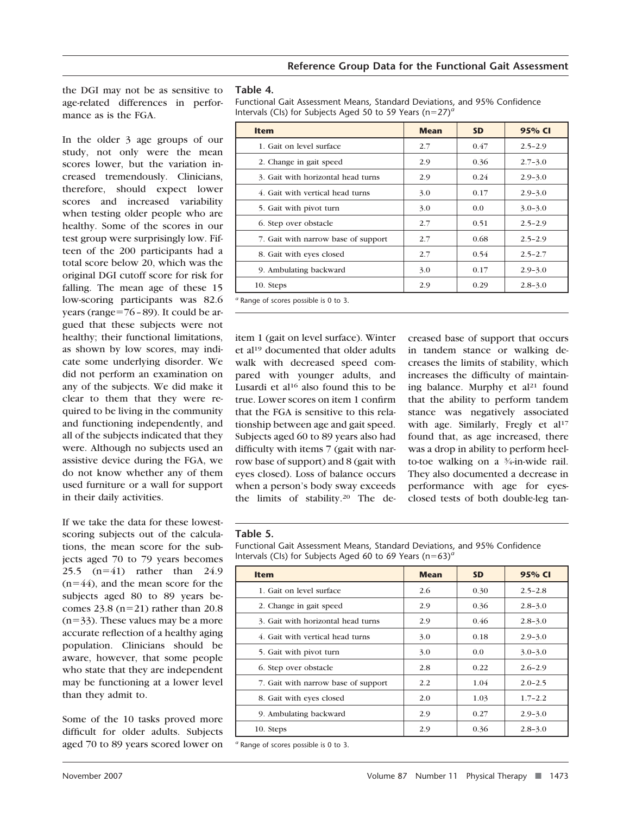the DGI may not be as sensitive to age-related differences in performance as is the FGA.

In the older 3 age groups of our study, not only were the mean scores lower, but the variation increased tremendously. Clinicians, therefore, should expect lower scores and increased variability when testing older people who are healthy. Some of the scores in our test group were surprisingly low. Fifteen of the 200 participants had a total score below 20, which was the original DGI cutoff score for risk for falling. The mean age of these 15 low-scoring participants was 82.6 years (range= $76 - 89$ ). It could be argued that these subjects were not healthy; their functional limitations, as shown by low scores, may indicate some underlying disorder. We did not perform an examination on any of the subjects. We did make it clear to them that they were required to be living in the community and functioning independently, and all of the subjects indicated that they were. Although no subjects used an assistive device during the FGA, we do not know whether any of them used furniture or a wall for support in their daily activities.

If we take the data for these lowestscoring subjects out of the calculations, the mean score for the subjects aged 70 to 79 years becomes 25.5  $(n=41)$  rather than 24.9  $(n=44)$ , and the mean score for the subjects aged 80 to 89 years becomes  $23.8$  (n=21) rather than 20.8  $(n=33)$ . These values may be a more accurate reflection of a healthy aging population. Clinicians should be aware, however, that some people who state that they are independent may be functioning at a lower level than they admit to.

Some of the 10 tasks proved more difficult for older adults. Subjects aged 70 to 89 years scored lower on

#### **Table 4.**

Functional Gait Assessment Means, Standard Deviations, and 95% Confidence Intervals (CIs) for Subjects Aged 50 to 59 Years (n=27)<sup>*a*</sup>

| <b>Item</b>                                      | <b>Mean</b> | <b>SD</b> | 95% CI      |  |
|--------------------------------------------------|-------------|-----------|-------------|--|
| 1. Gait on level surface                         | 2.7         | 0.47      | $2.5 - 2.9$ |  |
| 2. Change in gait speed                          | 2.9         | 0.36      | $2.7 - 3.0$ |  |
| 3. Gait with horizontal head turns               | 2.9         | 0.24      | $2.9 - 3.0$ |  |
| 4. Gait with vertical head turns                 | 3.0         | 0.17      | $2.9 - 3.0$ |  |
| 5. Gait with pivot turn                          | 3.0         | 0.0       | $3.0 - 3.0$ |  |
| 6. Step over obstacle                            | 2.7         | 0.51      | $2.5 - 2.9$ |  |
| 7. Gait with narrow base of support              | 2.7         | 0.68      | $2.5 - 2.9$ |  |
| 8. Gait with eyes closed                         | 2.7         | 0.54      | $2.5 - 2.7$ |  |
| 9. Ambulating backward                           | 3.0         | 0.17      | $2.9 - 3.0$ |  |
| 10. Steps                                        | 2.9         | 0.29      | $2.8 - 3.0$ |  |
| <sup>a</sup> Range of scores possible is 0 to 3. |             |           |             |  |

item 1 (gait on level surface). Winter et al19 documented that older adults walk with decreased speed compared with younger adults, and Lusardi et al<sup>16</sup> also found this to be true. Lower scores on item 1 confirm that the FGA is sensitive to this relationship between age and gait speed. Subjects aged 60 to 89 years also had difficulty with items 7 (gait with narrow base of support) and 8 (gait with eyes closed). Loss of balance occurs when a person's body sway exceeds the limits of stability.20 The decreased base of support that occurs in tandem stance or walking decreases the limits of stability, which increases the difficulty of maintaining balance. Murphy et  $al<sup>21</sup>$  found that the ability to perform tandem stance was negatively associated with age. Similarly, Fregly et al<sup>17</sup> found that, as age increased, there was a drop in ability to perform heelto-toe walking on a 3⁄4-in-wide rail. They also documented a decrease in performance with age for eyesclosed tests of both double-leg tan-

#### **Table 5.**

Functional Gait Assessment Means, Standard Deviations, and 95% Confidence Intervals (CIs) for Subjects Aged 60 to 69 Years ( $n=63$ )<sup>*a*</sup>

| <b>Item</b>                         | <b>Mean</b> | <b>SD</b> | 95% CI      |
|-------------------------------------|-------------|-----------|-------------|
| 1. Gait on level surface            | 2.6         | 0.30      | $2.5 - 2.8$ |
| 2. Change in gait speed             | 2.9         | 0.36      | $2.8 - 3.0$ |
| 3. Gait with horizontal head turns  | 2.9         | 0.46      | $2.8 - 3.0$ |
| 4. Gait with vertical head turns    | 3.0         | 0.18      | $2.9 - 3.0$ |
| 5. Gait with pivot turn             | 3.0         | 0.0       | $3.0 - 3.0$ |
| 6. Step over obstacle               | 2.8         | 0.22      | $2.6 - 2.9$ |
| 7. Gait with narrow base of support | 2.2         | 1.04      | $2.0 - 2.5$ |
| 8. Gait with eyes closed            | 2.0         | 1.03      | $1.7 - 2.2$ |
| 9. Ambulating backward              | 2.9         | 0.27      | $2.9 - 3.0$ |
| 10. Steps                           | 2.9         | 0.36      | $2.8 - 3.0$ |

*<sup>a</sup>* Range of scores possible is 0 to 3.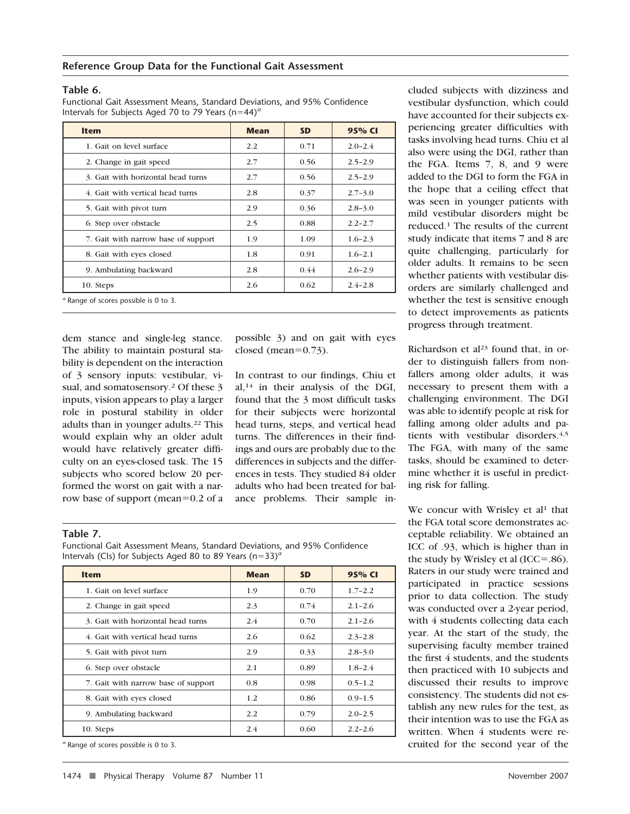#### **Table 6.**

Functional Gait Assessment Means, Standard Deviations, and 95% Confidence Intervals for Subjects Aged 70 to 79 Years (n=44)<sup>*a*</sup>

| <b>Item</b>                                  | <b>Mean</b> | <b>SD</b> | 95% CI      |
|----------------------------------------------|-------------|-----------|-------------|
| 1. Gait on level surface                     | 2.2         | 0.71      | $2.0 - 2.4$ |
| 2. Change in gait speed                      | 2.7         | 0.56      | $2.5 - 2.9$ |
| 3. Gait with horizontal head turns           | 2.7         | 0.56      | $2.5 - 2.9$ |
| 4. Gait with vertical head turns             | 2.8         | 0.37      | $2.7 - 3.0$ |
| 5. Gait with pivot turn                      | 2.9         | 0.36      | $2.8 - 3.0$ |
| 6. Step over obstacle                        | 2.5         | 0.88      | $2.2 - 2.7$ |
| 7. Gait with narrow base of support          | 1.9         | 1.09      | $1.6 - 2.3$ |
| 8. Gait with eyes closed                     | 1.8         | 0.91      | $1.6 - 2.1$ |
| 9. Ambulating backward                       | 2.8         | 0.44      | $2.6 - 2.9$ |
| 10. Steps                                    | 2.6         | 0.62      | $2.4 - 2.8$ |
| $\sigma$ Range of scores possible is 0 to 3. |             |           |             |

dem stance and single-leg stance. The ability to maintain postural stability is dependent on the interaction of 3 sensory inputs: vestibular, visual, and somatosensory.<sup>2</sup> Of these 3 inputs, vision appears to play a larger role in postural stability in older adults than in younger adults.22 This would explain why an older adult would have relatively greater difficulty on an eyes-closed task. The 15 subjects who scored below 20 performed the worst on gait with a narrow base of support (mean= $0.2$  of a

possible 3) and on gait with eyes closed (mean= $0.73$ ).

In contrast to our findings, Chiu et al, $14$  in their analysis of the DGI, found that the 3 most difficult tasks for their subjects were horizontal head turns, steps, and vertical head turns. The differences in their findings and ours are probably due to the differences in subjects and the differences in tests. They studied 84 older adults who had been treated for balance problems. Their sample in-

**Table 7.**

Functional Gait Assessment Means, Standard Deviations, and 95% Confidence Intervals (CIs) for Subjects Aged 80 to 89 Years ( $n=33$ )<sup>*a*</sup>

| <b>Item</b>                         | <b>Mean</b> | <b>SD</b> | 95% CI      |
|-------------------------------------|-------------|-----------|-------------|
| 1. Gait on level surface            | 1.9         | 0.70      | $1.7 - 2.2$ |
| 2. Change in gait speed             | 2.3         | 0.74      | $2.1 - 2.6$ |
| 3. Gait with horizontal head turns  | 2.4         | 0.70      | $2.1 - 2.6$ |
| 4. Gait with vertical head turns    | 2.6         | 0.62      | $2.3 - 2.8$ |
| 5. Gait with pivot turn             | 2.9         | 0.33      | $2.8 - 3.0$ |
| 6. Step over obstacle               | 2.1         | 0.89      | $1.8 - 2.4$ |
| 7. Gait with narrow base of support | 0.8         | 0.98      | $0.5 - 1.2$ |
| 8. Gait with eyes closed            | 1.2         | 0.86      | $0.9 - 1.5$ |
| 9. Ambulating backward              | 2.2         | 0.79      | $2.0 - 2.5$ |
| 10. Steps                           | 2.4         | 0.60      | $2.2 - 2.6$ |

*<sup>a</sup>* Range of scores possible is 0 to 3.

cluded subjects with dizziness and vestibular dysfunction, which could have accounted for their subjects experiencing greater difficulties with tasks involving head turns. Chiu et al also were using the DGI, rather than the FGA. Items 7, 8, and 9 were added to the DGI to form the FGA in the hope that a ceiling effect that was seen in younger patients with mild vestibular disorders might be reduced.1 The results of the current study indicate that items 7 and 8 are quite challenging, particularly for older adults. It remains to be seen whether patients with vestibular disorders are similarly challenged and whether the test is sensitive enough to detect improvements as patients progress through treatment.

Richardson et  $al<sup>23</sup>$  found that, in order to distinguish fallers from nonfallers among older adults, it was necessary to present them with a challenging environment. The DGI was able to identify people at risk for falling among older adults and patients with vestibular disorders.4,5 The FGA, with many of the same tasks, should be examined to determine whether it is useful in predicting risk for falling.

We concur with Wrisley et al<sup>1</sup> that the FGA total score demonstrates acceptable reliability. We obtained an ICC of .93, which is higher than in the study by Wrisley et al  $(ICC = .86)$ . Raters in our study were trained and participated in practice sessions prior to data collection. The study was conducted over a 2-year period, with 4 students collecting data each year. At the start of the study, the supervising faculty member trained the first 4 students, and the students then practiced with 10 subjects and discussed their results to improve consistency. The students did not establish any new rules for the test, as their intention was to use the FGA as written. When 4 students were recruited for the second year of the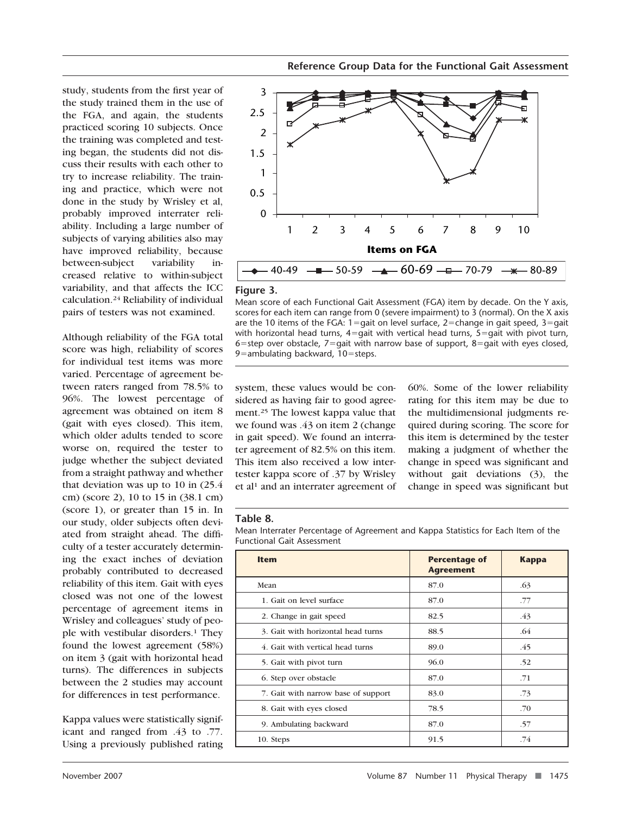study, students from the first year of the study trained them in the use of the FGA, and again, the students practiced scoring 10 subjects. Once the training was completed and testing began, the students did not discuss their results with each other to try to increase reliability. The training and practice, which were not done in the study by Wrisley et al, probably improved interrater reliability. Including a large number of subjects of varying abilities also may have improved reliability, because between-subject variability increased relative to within-subject variability, and that affects the ICC calculation.24 Reliability of individual pairs of testers was not examined.

Although reliability of the FGA total score was high, reliability of scores for individual test items was more varied. Percentage of agreement between raters ranged from 78.5% to 96%. The lowest percentage of agreement was obtained on item 8 (gait with eyes closed). This item, which older adults tended to score worse on, required the tester to judge whether the subject deviated from a straight pathway and whether that deviation was up to 10 in (25.4 cm) (score 2), 10 to 15 in (38.1 cm) (score 1), or greater than 15 in. In our study, older subjects often deviated from straight ahead. The difficulty of a tester accurately determining the exact inches of deviation probably contributed to decreased reliability of this item. Gait with eyes closed was not one of the lowest percentage of agreement items in Wrisley and colleagues' study of people with vestibular disorders.1 They found the lowest agreement (58%) on item 3 (gait with horizontal head turns). The differences in subjects between the 2 studies may account for differences in test performance.

Kappa values were statistically significant and ranged from .43 to .77. Using a previously published rating







Mean score of each Functional Gait Assessment (FGA) item by decade. On the Y axis, scores for each item can range from 0 (severe impairment) to 3 (normal). On the X axis are the 10 items of the FGA:  $1 =$ gait on level surface, 2=change in gait speed, 3=gait with horizontal head turns,  $4=$ gait with vertical head turns,  $5=$ gait with pivot turn, 6=step over obstacle, 7=qait with narrow base of support, 8=qait with eyes closed, 9 $=$ ambulating backward, 10 $=$ steps.

system, these values would be considered as having fair to good agreement.25 The lowest kappa value that we found was .43 on item 2 (change in gait speed). We found an interrater agreement of 82.5% on this item. This item also received a low intertester kappa score of .37 by Wrisley et al<sup>1</sup> and an interrater agreement of 60%. Some of the lower reliability rating for this item may be due to the multidimensional judgments required during scoring. The score for this item is determined by the tester making a judgment of whether the change in speed was significant and without gait deviations (3), the change in speed was significant but

#### **Table 8.**

Mean Interrater Percentage of Agreement and Kappa Statistics for Each Item of the Functional Gait Assessment

| <b>Item</b>                         | <b>Percentage of</b><br><b>Agreement</b> | <b>Kappa</b> |
|-------------------------------------|------------------------------------------|--------------|
| Mean                                | 87.0                                     | .63          |
| 1. Gait on level surface            | 87.0                                     | .77          |
| 2. Change in gait speed             | 82.5                                     | .43          |
| 3. Gait with horizontal head turns  | 88.5                                     | .64          |
| 4. Gait with vertical head turns    | 89.0                                     | .45          |
| 5. Gait with pivot turn             | 96.0                                     | .52          |
| 6. Step over obstacle               | 87.0                                     | .71          |
| 7. Gait with narrow base of support | 83.0                                     | .73          |
| 8. Gait with eyes closed            | 78.5                                     | .70          |
| 9. Ambulating backward              | 87.0                                     | .57          |
| 10. Steps                           | 91.5                                     | .74          |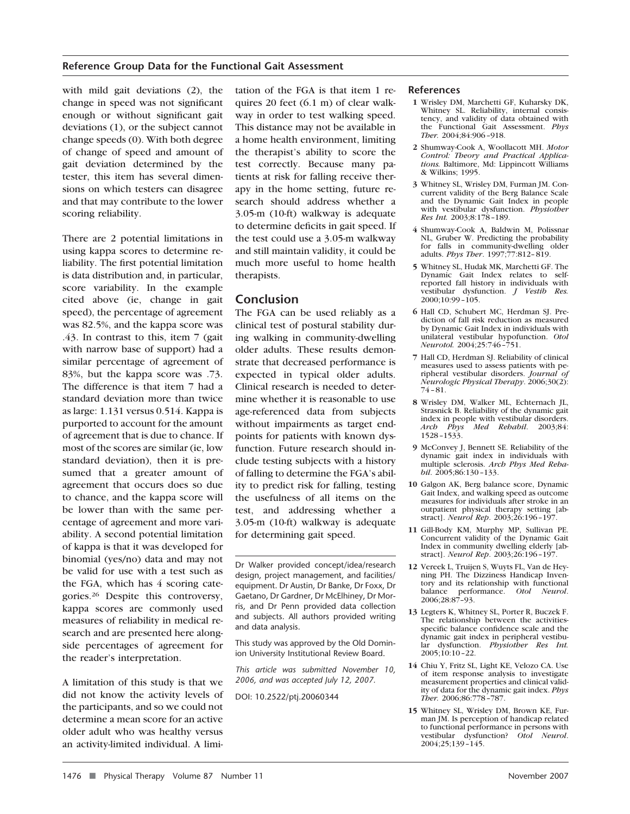with mild gait deviations (2), the change in speed was not significant enough or without significant gait deviations (1), or the subject cannot change speeds (0). With both degree of change of speed and amount of gait deviation determined by the tester, this item has several dimensions on which testers can disagree and that may contribute to the lower scoring reliability.

There are 2 potential limitations in using kappa scores to determine reliability. The first potential limitation is data distribution and, in particular, score variability. In the example cited above (ie, change in gait speed), the percentage of agreement was 82.5%, and the kappa score was .43. In contrast to this, item 7 (gait with narrow base of support) had a similar percentage of agreement of 83%, but the kappa score was .73. The difference is that item 7 had a standard deviation more than twice as large: 1.131 versus 0.514. Kappa is purported to account for the amount of agreement that is due to chance. If most of the scores are similar (ie, low standard deviation), then it is presumed that a greater amount of agreement that occurs does so due to chance, and the kappa score will be lower than with the same percentage of agreement and more variability. A second potential limitation of kappa is that it was developed for binomial (yes/no) data and may not be valid for use with a test such as the FGA, which has 4 scoring categories.26 Despite this controversy, kappa scores are commonly used measures of reliability in medical research and are presented here alongside percentages of agreement for the reader's interpretation.

A limitation of this study is that we did not know the activity levels of the participants, and so we could not determine a mean score for an active older adult who was healthy versus an activity-limited individual. A limitation of the FGA is that item 1 requires 20 feet (6.1 m) of clear walkway in order to test walking speed. This distance may not be available in a home health environment, limiting the therapist's ability to score the test correctly. Because many patients at risk for falling receive therapy in the home setting, future research should address whether a 3.05-m (10-ft) walkway is adequate to determine deficits in gait speed. If the test could use a 3.05-m walkway and still maintain validity, it could be much more useful to home health therapists.

## **Conclusion**

The FGA can be used reliably as a clinical test of postural stability during walking in community-dwelling older adults. These results demonstrate that decreased performance is expected in typical older adults. Clinical research is needed to determine whether it is reasonable to use age-referenced data from subjects without impairments as target endpoints for patients with known dysfunction. Future research should include testing subjects with a history of falling to determine the FGA's ability to predict risk for falling, testing the usefulness of all items on the test, and addressing whether a 3.05-m (10-ft) walkway is adequate for determining gait speed.

Dr Walker provided concept/idea/research design, project management, and facilities/ equipment. Dr Austin, Dr Banke, Dr Foxx, Dr Gaetano, Dr Gardner, Dr McElhiney, Dr Morris, and Dr Penn provided data collection and subjects. All authors provided writing and data analysis.

This study was approved by the Old Dominion University Institutional Review Board.

*This article was submitted November 10, 2006, and was accepted July 12, 2007.*

DOI: 10.2522/ptj.20060344

#### **References**

- **1** Wrisley DM, Marchetti GF, Kuharsky DK, Whitney SL. Reliability, internal consistency, and validity of data obtained with the Functional Gait Assessment. *Phys Ther.* 2004;84:906 –918.
- **2** Shumway-Cook A, Woollacott MH. *Motor Control: Theory and Practical Applications.* Baltimore, Md: Lippincott Williams & Wilkins; 1995.
- **3** Whitney SL, Wrisley DM, Furman JM. Concurrent validity of the Berg Balance Scale and the Dynamic Gait Index in people with vestibular dysfunction. *Physiother Res Int.* 2003;8:178 –189.
- **4** Shumway-Cook A, Baldwin M, Polissnar NL, Gruber W. Predicting the probability for falls in community-dwelling older adults. *Phys Ther.* 1997;77:812-819.
- **5** Whitney SL, Hudak MK, Marchetti GF. The Dynamic Gait Index relates to selfreported fall history in individuals with vestibular dysfunction. *J Vestib Res.*  $2000:10:99 - 105.$
- **6** Hall CD, Schubert MC, Herdman SJ. Prediction of fall risk reduction as measured by Dynamic Gait Index in individuals with unilateral vestibular hypofunction. *Otol Neurotol.* 2004;25:746 –751.
- **7** Hall CD, Herdman SJ. Reliability of clinical measures used to assess patients with peripheral vestibular disorders. *Journal of Neurologic Physical Therapy*. 2006;30(2): 74 – 81.
- **8** Wrisley DM, Walker ML, Echternach JL, Strasnick B. Reliability of the dynamic gait index in people with vestibular disorders. *Arch Phys Med Rehabil*. 2003;84: 1528 –1533.
- **9** McConvey J, Bennett SE. Reliability of the dynamic gait index in individuals with multiple sclerosis. *Arch Phys Med Rehabil*. 2005;86:130 –133.
- **10** Galgon AK, Berg balance score, Dynamic Gait Index, and walking speed as outcome measures for individuals after stroke in an outpatient physical therapy setting [abstract]. *Neurol Rep*. 2003;26:196 –197.
- **11** Gill-Body KM, Murphy MP, Sullivan PE. Concurrent validity of the Dynamic Gait Index in community dwelling elderly [abstract]. *Neurol Rep*. 2003;26:196 –197.
- **12** Vereek L, Truijen S, Wuyts FL, Van de Heyning PH. The Dizziness Handicap Inventory and its relationship with functional<br>balance performance. Otol Neurol. balance performance. *Otol Neurol*. 2006;28:87–93.
- **13** Legters K, Whitney SL, Porter R, Buczek F. The relationship between the activitiesspecific balance confidence scale and the dynamic gait index in peripheral vestibular dysfunction. *Physiother Res Int.* 2005;10:10 –22.
- **14** Chiu Y, Fritz SL, Light KE, Velozo CA. Use of item response analysis to investigate measurement properties and clinical validity of data for the dynamic gait index. *Phys Ther.* 2006;86:778 –787.
- **15** Whitney SL, Wrisley DM, Brown KE, Furman JM. Is perception of handicap related to functional performance in persons with vestibular dysfunction? *Otol Neurol*. 2004;25;139 –145.